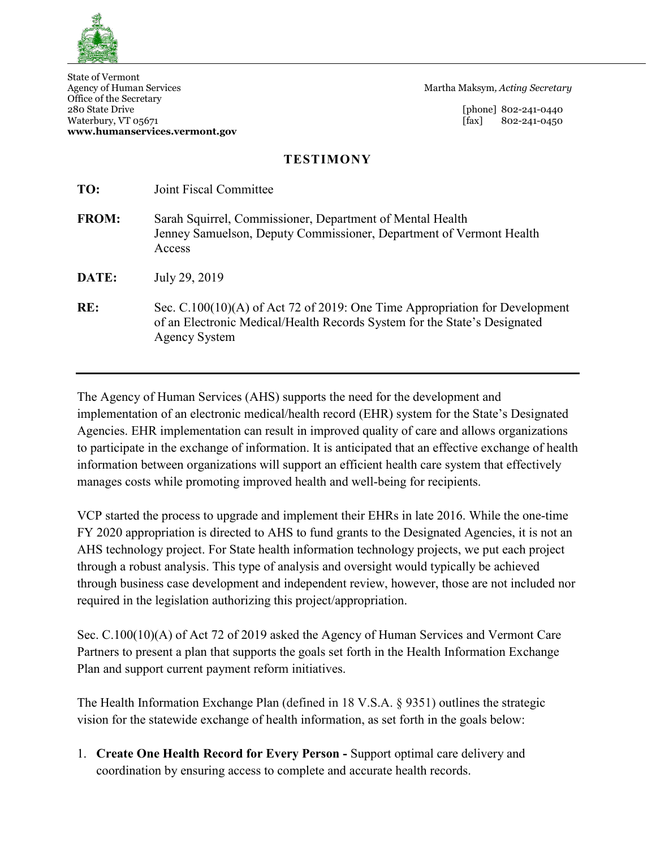

State of Vermont Office of the Secretary 280 State Drive [phone] 802-241-0440 Waterbury, VT 05671 [fax] 802-241-0450 **www.humanservices.vermont.gov**

Martha Maksym, Acting Secretary

## **TESTIMONY**

| TO:          | Joint Fiscal Committee                                                                                                                                                             |
|--------------|------------------------------------------------------------------------------------------------------------------------------------------------------------------------------------|
| <b>FROM:</b> | Sarah Squirrel, Commissioner, Department of Mental Health<br>Jenney Samuelson, Deputy Commissioner, Department of Vermont Health<br>Access                                         |
| DATE:        | July 29, 2019                                                                                                                                                                      |
| RE:          | Sec. $C.100(10)(A)$ of Act 72 of 2019: One Time Appropriation for Development<br>of an Electronic Medical/Health Records System for the State's Designated<br><b>Agency System</b> |

The Agency of Human Services (AHS) supports the need for the development and implementation of an electronic medical/health record (EHR) system for the State's Designated Agencies. EHR implementation can result in improved quality of care and allows organizations to participate in the exchange of information. It is anticipated that an effective exchange of health information between organizations will support an efficient health care system that effectively manages costs while promoting improved health and well-being for recipients.

VCP started the process to upgrade and implement their EHRs in late 2016. While the one-time FY 2020 appropriation is directed to AHS to fund grants to the Designated Agencies, it is not an AHS technology project. For State health information technology projects, we put each project through a robust analysis. This type of analysis and oversight would typically be achieved through business case development and independent review, however, those are not included nor required in the legislation authorizing this project/appropriation.

Sec. C.100(10)(A) of Act 72 of 2019 asked the Agency of Human Services and Vermont Care Partners to present a plan that supports the goals set forth in the Health Information Exchange Plan and support current payment reform initiatives.

The Health Information Exchange Plan (defined in 18 V.S.A. § 9351) outlines the strategic vision for the statewide exchange of health information, as set forth in the goals below:

1. **Create One Health Record for Every Person -** Support optimal care delivery and coordination by ensuring access to complete and accurate health records.